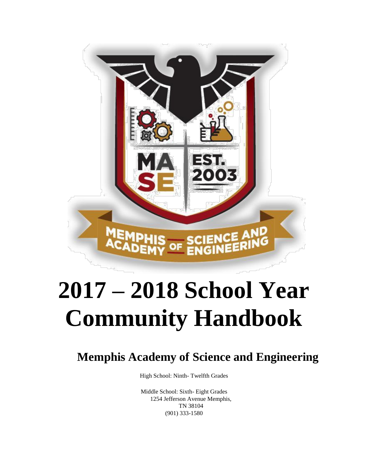

# **2017 – 2018 School Year Community Handbook**

# **Memphis Academy of Science and Engineering**

High School: Ninth- Twelfth Grades

Middle School: Sixth- Eight Grades 1254 Jefferson Avenue Memphis, TN 38104 (901) 333-1580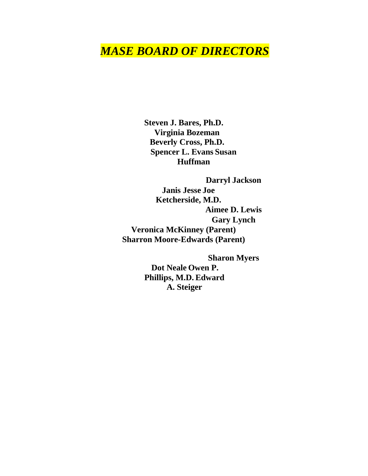## *MASE BOARD OF DIRECTORS*

**Steven J. Bares, Ph.D. Virginia Bozeman Beverly Cross, Ph.D. Spencer L. Evans Susan Huffman**

**Darryl Jackson Janis Jesse Joe Ketcherside, M.D. Aimee D. Lewis Gary Lynch Veronica McKinney (Parent) Sharron Moore-Edwards (Parent)**

> **Sharon Myers Dot Neale Owen P. Phillips, M.D. Edward**

> > **A. Steiger**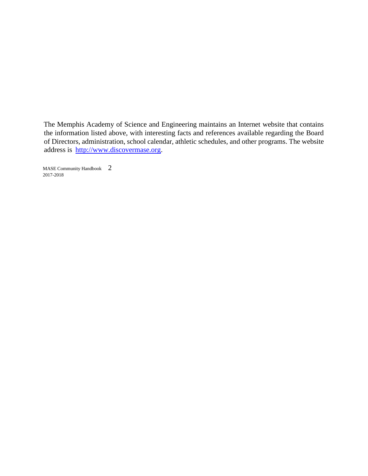The Memphis Academy of Science and Engineering maintains an Internet website that contains the information listed above, with interesting facts and references available regarding the Board of Directors, administration, school calendar, athletic schedules, and other programs. The website address is http://www.discovermase.org.

MASE Community Handbook 2 2017-2018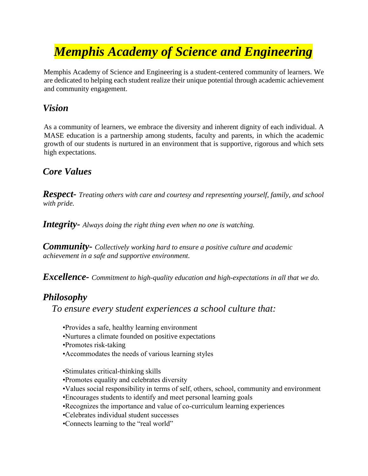# *Memphis Academy of Science and Engineering*

Memphis Academy of Science and Engineering is a student-centered community of learners. We are dedicated to helping each student realize their unique potential through academic achievement and community engagement.

## *Vision*

As a community of learners, we embrace the diversity and inherent dignity of each individual. A MASE education is a partnership among students, faculty and parents, in which the academic growth of our students is nurtured in an environment that is supportive, rigorous and which sets high expectations.

## *Core Values*

*Respect- Treating others with care and courtesy and representing yourself, family, and school with pride.*

*Integrity- Always doing the right thing even when no one is watching.*

*Community- Collectively working hard to ensure a positive culture and academic achievement in a safe and supportive environment.*

*Excellence- Commitment to high-quality education and high-expectations in all that we do.*

## *Philosophy*

*To ensure every student experiences a school culture that:*

- •Provides a safe, healthy learning environment
- •Nurtures a climate founded on positive expectations
- •Promotes risk-taking
- •Accommodates the needs of various learning styles
- •Stimulates critical-thinking skills
- •Promotes equality and celebrates diversity
- •Values social responsibility in terms of self, others, school, community and environment
- •Encourages students to identify and meet personal learning goals
- •Recognizes the importance and value of co-curriculum learning experiences
- •Celebrates individual student successes
- •Connects learning to the "real world"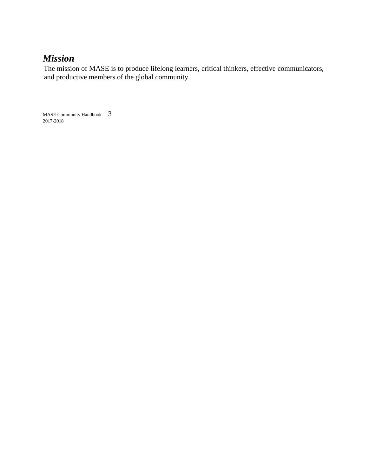## *Mission*

The mission of MASE is to produce lifelong learners, critical thinkers, effective communicators, and productive members of the global community.

MASE Community Handbook 3 2017-2018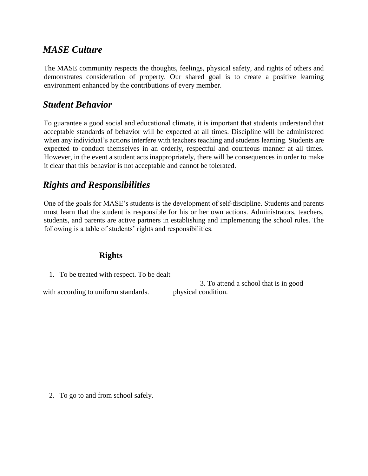## *MASE Culture*

The MASE community respects the thoughts, feelings, physical safety, and rights of others and demonstrates consideration of property. Our shared goal is to create a positive learning environment enhanced by the contributions of every member.

## *Student Behavior*

To guarantee a good social and educational climate, it is important that students understand that acceptable standards of behavior will be expected at all times. Discipline will be administered when any individual's actions interfere with teachers teaching and students learning. Students are expected to conduct themselves in an orderly, respectful and courteous manner at all times. However, in the event a student acts inappropriately, there will be consequences in order to make it clear that this behavior is not acceptable and cannot be tolerated.

## *Rights and Responsibilities*

One of the goals for MASE's students is the development of self-discipline. Students and parents must learn that the student is responsible for his or her own actions. Administrators, teachers, students, and parents are active partners in establishing and implementing the school rules. The following is a table of students' rights and responsibilities.

### **Rights**

1. To be treated with respect. To be dealt

3. To attend a school that is in good

with according to uniform standards. physical condition.

2. To go to and from school safely.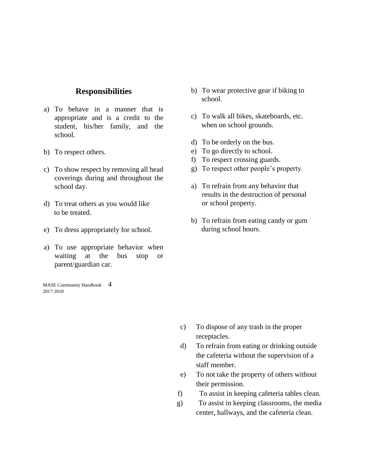#### **Responsibilities**

- a) To behave in a manner that is appropriate and is a credit to the student, his/her family, and the school.
- b) To respect others.
- c) To show respect by removing all head coverings during and throughout the school day.
- d) To treat others as you would like to be treated.
- e) To dress appropriately for school.
- a) To use appropriate behavior when waiting at the bus stop or parent/guardian car.

MASE Community Handbook 4 2017-2018

- b) To wear protective gear if biking to school.
- c) To walk all bikes, skateboards, etc. when on school grounds.
- d) To be orderly on the bus.
- e) To go directly to school.
- f) To respect crossing guards.
- g) To respect other people's property.
- a) To refrain from any behavior that results in the destruction of personal or school property.
- b) To refrain from eating candy or gum during school hours.

- c) To dispose of any trash in the proper receptacles.
- d) To refrain from eating or drinking outside the cafeteria without the supervision of a staff member.
- e) To not take the property of others without their permission.
- f) To assist in keeping cafeteria tables clean.
- g) To assist in keeping classrooms, the media center, hallways, and the cafeteria clean.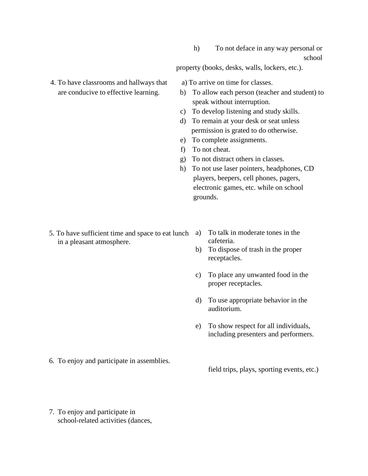h) To not deface in any way personal or school

property (books, desks, walls, lockers, etc.).

4. To have classrooms and hallways that a) To arrive on time for classes.

- are conducive to effective learning. b) To allow each person (teacher and student) to speak without interruption.
	- c) To develop listening and study skills.
	- d) To remain at your desk or seat unless permission is grated to do otherwise.
	- e) To complete assignments.
	- f) To not cheat.
	- g) To not distract others in classes.
	- h) To not use laser pointers, headphones, CD players, beepers, cell phones, pagers, electronic games, etc. while on school grounds.
- 5. To have sufficient time and space to eat lunch in a pleasant atmosphere.
- a) To talk in moderate tones in the cafeteria.
	- b) To dispose of trash in the proper receptacles.
	- c) To place any unwanted food in the proper receptacles.
	- d) To use appropriate behavior in the auditorium.
	- e) To show respect for all individuals, including presenters and performers.
- 6. To enjoy and participate in assemblies.
- field trips, plays, sporting events, etc.)

7. To enjoy and participate in school-related activities (dances,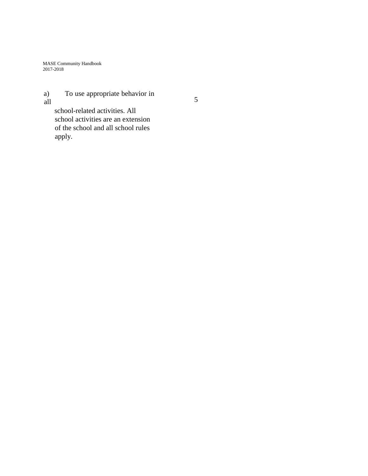MASE Community Handbook 2017-2018

a) To use appropriate behavior in all

5

school-related activities. All school activities are an extension of the school and all school rules apply.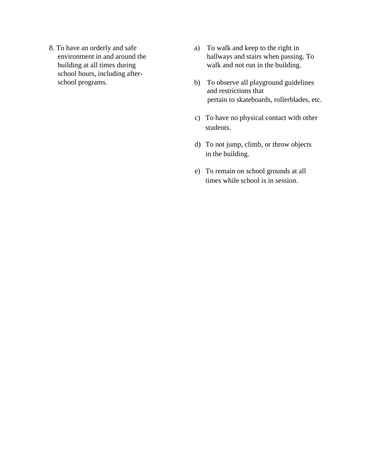- 8. To have an orderly and safe environment in and around the building at all times during school hours, including afterschool programs.
- a) To walk and keep to the right in hallways and stairs when passing. To walk and not run in the building.
- b) To observe all playground guidelines and restrictions that pertain to skateboards, rollerblades, etc.
- c) To have no physical contact with other students.
- d) To not jump, climb, or throw objects in the building.
- e) To remain on school grounds at all times while school is in session.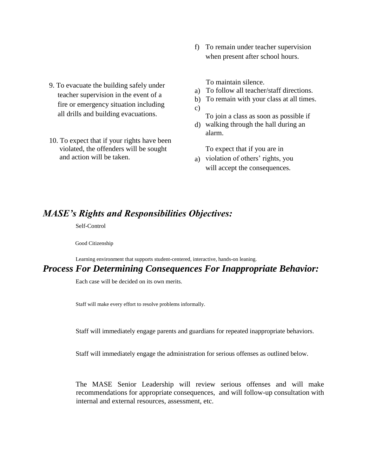- f) To remain under teacher supervision when present after school hours.
- 9. To evacuate the building safely under teacher supervision in the event of a fire or emergency situation including all drills and building evacuations.
- 10. To expect that if your rights have been violated, the offenders will be sought and action will be taken.

To maintain silence.

- a) To follow all teacher/staff directions.
- b) To remain with your class at all times. c)
	- To join a class as soon as possible if
- d) walking through the hall during an alarm.

a) violation of others' rights, you To expect that if you are in

will accept the consequences.

## *MASE's Rights and Responsibilities Objectives:*

Self-Control

Good Citizenship

Learning environment that supports student-centered, interactive, hands-on leaning.

#### *Process For Determining Consequences For Inappropriate Behavior:*

Each case will be decided on its own merits.

Staff will make every effort to resolve problems informally.

Staff will immediately engage parents and guardians for repeated inappropriate behaviors.

Staff will immediately engage the administration for serious offenses as outlined below.

The MASE Senior Leadership will review serious offenses and will make recommendations for appropriate consequences, and will follow-up consultation with internal and external resources, assessment, etc.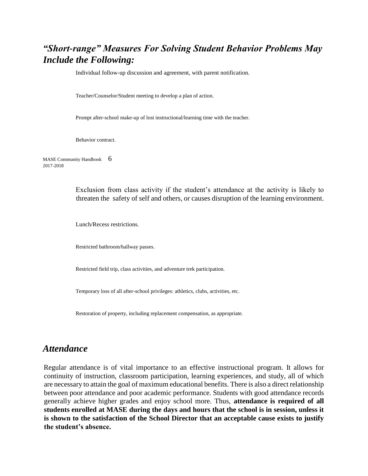## *"Short-range" Measures For Solving Student Behavior Problems May Include the Following:*

Individual follow-up discussion and agreement, with parent notification.

Teacher/Counselor/Student meeting to develop a plan of action.

Prompt after-school make-up of lost instructional/learning time with the teacher.

Behavior contract.

MASE Community Handbook  $6$ 2017-2018

> Exclusion from class activity if the student's attendance at the activity is likely to threaten the safety of self and others, or causes disruption of the learning environment.

Lunch/Recess restrictions.

Restricted bathroom/hallway passes.

Restricted field trip, class activities, and adventure trek participation.

Temporary loss of all after-school privileges: athletics, clubs, activities, etc.

Restoration of property, including replacement compensation, as appropriate.

### *Attendance*

Regular attendance is of vital importance to an effective instructional program. It allows for continuity of instruction, classroom participation, learning experiences, and study, all of which are necessary to attain the goal of maximum educational benefits. There is also a direct relationship between poor attendance and poor academic performance. Students with good attendance records generally achieve higher grades and enjoy school more. Thus, **attendance is required of all students enrolled at MASE during the days and hours that the school is in session, unless it is shown to the satisfaction of the School Director that an acceptable cause exists to justify the student's absence.**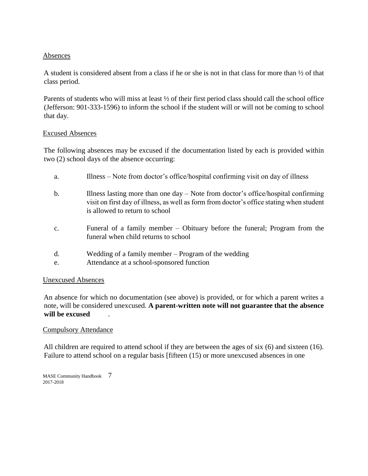#### Absences

A student is considered absent from a class if he or she is not in that class for more than ½ of that class period.

Parents of students who will miss at least ½ of their first period class should call the school office (Jefferson: 901-333-1596) to inform the school if the student will or will not be coming to school that day.

#### Excused Absences

The following absences may be excused if the documentation listed by each is provided within two (2) school days of the absence occurring:

- a. Illness Note from doctor's office/hospital confirming visit on day of illness
- b. Illness lasting more than one day Note from doctor's office/hospital confirming visit on first day of illness, as well as form from doctor's office stating when student is allowed to return to school
- c. Funeral of a family member Obituary before the funeral; Program from the funeral when child returns to school
- d. Wedding of a family member Program of the wedding
- e. Attendance at a school-sponsored function

#### Unexcused Absences

An absence for which no documentation (see above) is provided, or for which a parent writes a note, will be considered unexcused. **A parent-written note will not guarantee that the absence will be excused** .

#### Compulsory Attendance

All children are required to attend school if they are between the ages of six (6) and sixteen (16). Failure to attend school on a regular basis [fifteen (15) or more unexcused absences in one

MASE Community Handbook 7 2017-2018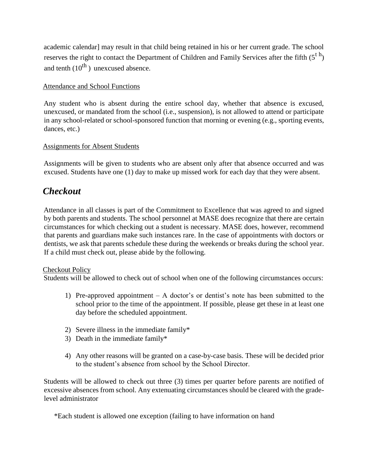academic calendar] may result in that child being retained in his or her current grade. The school reserves the right to contact the Department of Children and Family Services after the fifth  $(5^t)^h$ ) and tenth  $(10^{th})$  unexcused absence.

#### Attendance and School Functions

Any student who is absent during the entire school day, whether that absence is excused, unexcused, or mandated from the school (i.e., suspension), is not allowed to attend or participate in any school-related or school-sponsored function that morning or evening (e.g., sporting events, dances, etc.)

#### Assignments for Absent Students

Assignments will be given to students who are absent only after that absence occurred and was excused. Students have one (1) day to make up missed work for each day that they were absent.

## *Checkout*

Attendance in all classes is part of the Commitment to Excellence that was agreed to and signed by both parents and students. The school personnel at MASE does recognize that there are certain circumstances for which checking out a student is necessary. MASE does, however, recommend that parents and guardians make such instances rare. In the case of appointments with doctors or dentists, we ask that parents schedule these during the weekends or breaks during the school year. If a child must check out, please abide by the following.

#### Checkout Policy

Students will be allowed to check out of school when one of the following circumstances occurs:

- 1) Pre-approved appointment A doctor's or dentist's note has been submitted to the school prior to the time of the appointment. If possible, please get these in at least one day before the scheduled appointment.
- 2) Severe illness in the immediate family\*
- 3) Death in the immediate family\*
- 4) Any other reasons will be granted on a case-by-case basis. These will be decided prior to the student's absence from school by the School Director.

Students will be allowed to check out three (3) times per quarter before parents are notified of excessive absences from school. Any extenuating circumstances should be cleared with the gradelevel administrator

\*Each student is allowed one exception (failing to have information on hand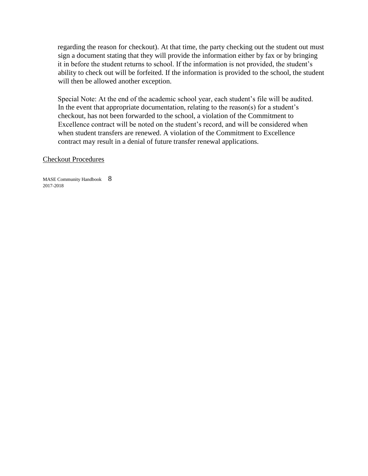regarding the reason for checkout). At that time, the party checking out the student out must sign a document stating that they will provide the information either by fax or by bringing it in before the student returns to school. If the information is not provided, the student's ability to check out will be forfeited. If the information is provided to the school, the student will then be allowed another exception.

Special Note: At the end of the academic school year, each student's file will be audited. In the event that appropriate documentation, relating to the reason(s) for a student's checkout, has not been forwarded to the school, a violation of the Commitment to Excellence contract will be noted on the student's record, and will be considered when when student transfers are renewed. A violation of the Commitment to Excellence contract may result in a denial of future transfer renewal applications.

#### Checkout Procedures

MASE Community Handbook 8 2017-2018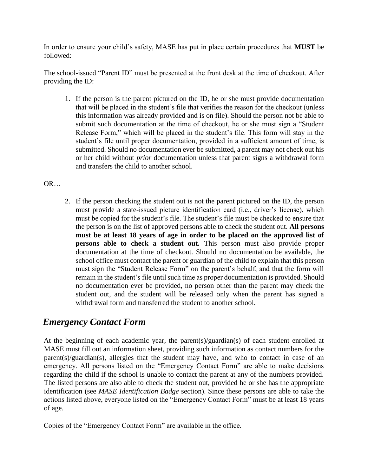In order to ensure your child's safety, MASE has put in place certain procedures that **MUST** be followed:

The school-issued "Parent ID" must be presented at the front desk at the time of checkout. After providing the ID:

1. If the person is the parent pictured on the ID, he or she must provide documentation that will be placed in the student's file that verifies the reason for the checkout (unless this information was already provided and is on file). Should the person not be able to submit such documentation at the time of checkout, he or she must sign a "Student Release Form," which will be placed in the student's file. This form will stay in the student's file until proper documentation, provided in a sufficient amount of time, is submitted. Should no documentation ever be submitted, a parent may not check out his or her child without *prior* documentation unless that parent signs a withdrawal form and transfers the child to another school.

OR…

2. If the person checking the student out is not the parent pictured on the ID, the person must provide a state-issued picture identification card (i.e., driver's license), which must be copied for the student's file. The student's file must be checked to ensure that the person is on the list of approved persons able to check the student out. **All persons must be at least 18 years of age in order to be placed on the approved list of persons able to check a student out.** This person must also provide proper documentation at the time of checkout. Should no documentation be available, the school office must contact the parent or guardian of the child to explain that this person must sign the "Student Release Form" on the parent's behalf, and that the form will remain in the student's file until such time as proper documentation is provided. Should no documentation ever be provided, no person other than the parent may check the student out, and the student will be released only when the parent has signed a withdrawal form and transferred the student to another school.

## *Emergency Contact Form*

At the beginning of each academic year, the parent(s)/guardian(s) of each student enrolled at MASE must fill out an information sheet, providing such information as contact numbers for the parent(s)/guardian(s), allergies that the student may have, and who to contact in case of an emergency. All persons listed on the "Emergency Contact Form" are able to make decisions regarding the child if the school is unable to contact the parent at any of the numbers provided. The listed persons are also able to check the student out, provided he or she has the appropriate identification (see *MASE Identification Badge* section). Since these persons are able to take the actions listed above, everyone listed on the "Emergency Contact Form" must be at least 18 years of age.

Copies of the "Emergency Contact Form" are available in the office.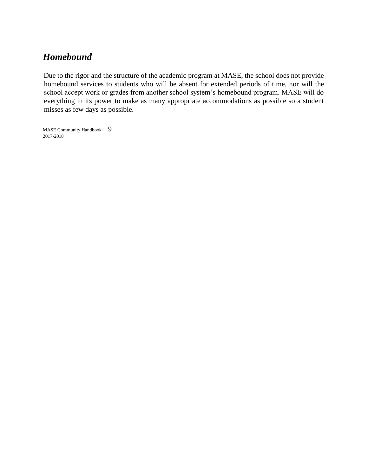## *Homebound*

Due to the rigor and the structure of the academic program at MASE, the school does not provide homebound services to students who will be absent for extended periods of time, nor will the school accept work or grades from another school system's homebound program. MASE will do everything in its power to make as many appropriate accommodations as possible so a student misses as few days as possible.

MASE Community Handbook 9 2017-2018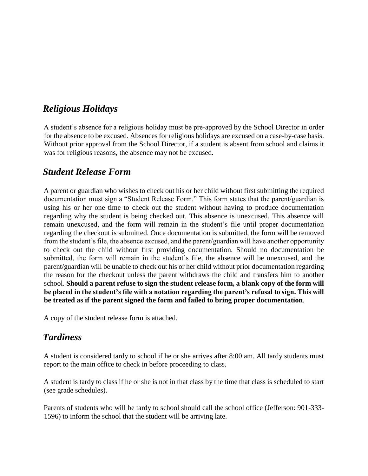## *Religious Holidays*

A student's absence for a religious holiday must be pre-approved by the School Director in order for the absence to be excused. Absences for religious holidays are excused on a case-by-case basis. Without prior approval from the School Director, if a student is absent from school and claims it was for religious reasons, the absence may not be excused.

## *Student Release Form*

A parent or guardian who wishes to check out his or her child without first submitting the required documentation must sign a "Student Release Form." This form states that the parent/guardian is using his or her one time to check out the student without having to produce documentation regarding why the student is being checked out. This absence is unexcused. This absence will remain unexcused, and the form will remain in the student's file until proper documentation regarding the checkout is submitted. Once documentation is submitted, the form will be removed from the student's file, the absence excused, and the parent/guardian will have another opportunity to check out the child without first providing documentation. Should no documentation be submitted, the form will remain in the student's file, the absence will be unexcused, and the parent/guardian will be unable to check out his or her child without prior documentation regarding the reason for the checkout unless the parent withdraws the child and transfers him to another school. **Should a parent refuse to sign the student release form, a blank copy of the form will be placed in the student's file with a notation regarding the parent's refusal to sign. This will be treated as if the parent signed the form and failed to bring proper documentation**.

A copy of the student release form is attached.

## *Tardiness*

A student is considered tardy to school if he or she arrives after 8:00 am. All tardy students must report to the main office to check in before proceeding to class.

A student is tardy to class if he or she is not in that class by the time that class is scheduled to start (see grade schedules).

Parents of students who will be tardy to school should call the school office (Jefferson: 901-333- 1596) to inform the school that the student will be arriving late.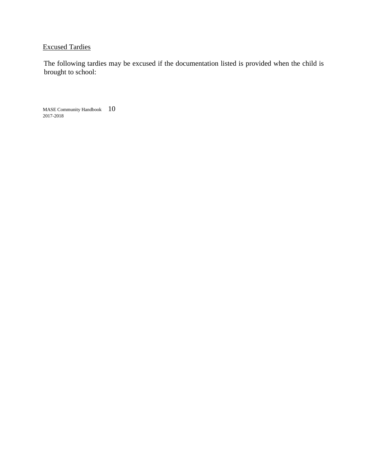#### Excused Tardies

The following tardies may be excused if the documentation listed is provided when the child is brought to school:

MASE Community Handbook  $10$ 2017-2018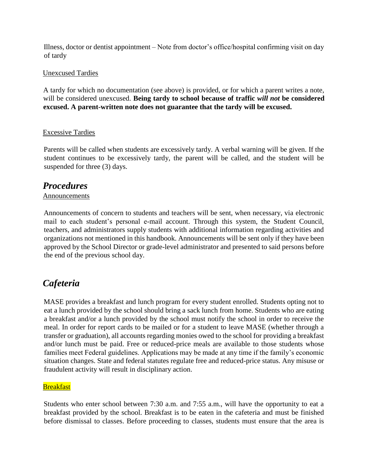Illness, doctor or dentist appointment – Note from doctor's office/hospital confirming visit on day of tardy

#### Unexcused Tardies

A tardy for which no documentation (see above) is provided, or for which a parent writes a note, will be considered unexcused. **Being tardy to school because of traffic** *will not* **be considered excused. A parent-written note does not guarantee that the tardy will be excused.**

#### Excessive Tardies

Parents will be called when students are excessively tardy. A verbal warning will be given. If the student continues to be excessively tardy, the parent will be called, and the student will be suspended for three (3) days.

## *Procedures*

#### Announcements

Announcements of concern to students and teachers will be sent, when necessary, via electronic mail to each student's personal e-mail account. Through this system, the Student Council, teachers, and administrators supply students with additional information regarding activities and organizations not mentioned in this handbook. Announcements will be sent only if they have been approved by the School Director or grade-level administrator and presented to said persons before the end of the previous school day.

## *Cafeteria*

MASE provides a breakfast and lunch program for every student enrolled. Students opting not to eat a lunch provided by the school should bring a sack lunch from home. Students who are eating a breakfast and/or a lunch provided by the school must notify the school in order to receive the meal. In order for report cards to be mailed or for a student to leave MASE (whether through a transfer or graduation), all accounts regarding monies owed to the school for providing a breakfast and/or lunch must be paid. Free or reduced-price meals are available to those students whose families meet Federal guidelines. Applications may be made at any time if the family's economic situation changes. State and federal statutes regulate free and reduced-price status. Any misuse or fraudulent activity will result in disciplinary action.

#### **Breakfast**

Students who enter school between 7:30 a.m. and 7:55 a.m., will have the opportunity to eat a breakfast provided by the school. Breakfast is to be eaten in the cafeteria and must be finished before dismissal to classes. Before proceeding to classes, students must ensure that the area is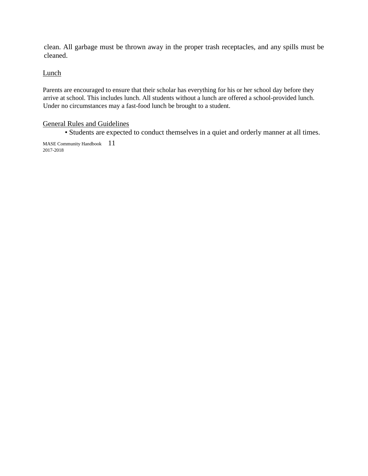clean. All garbage must be thrown away in the proper trash receptacles, and any spills must be cleaned.

#### Lunch

Parents are encouraged to ensure that their scholar has everything for his or her school day before they arrive at school. This includes lunch. All students without a lunch are offered a school-provided lunch. Under no circumstances may a fast-food lunch be brought to a student.

#### General Rules and Guidelines

• Students are expected to conduct themselves in a quiet and orderly manner at all times.

MASE Community Handbook 11 2017-2018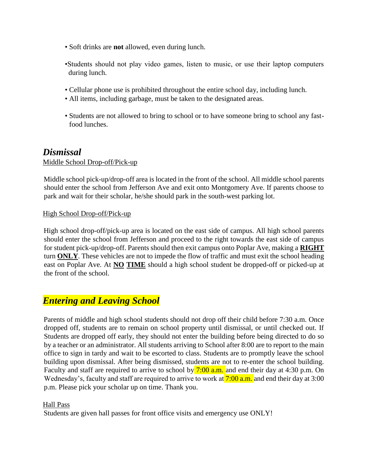- Soft drinks are **not** allowed, even during lunch.
- •Students should not play video games, listen to music, or use their laptop computers during lunch.
- Cellular phone use is prohibited throughout the entire school day, including lunch.
- All items, including garbage, must be taken to the designated areas.
- Students are not allowed to bring to school or to have someone bring to school any fastfood lunches.

#### *Dismissal* Middle School Drop-off/Pick-up

Middle school pick-up/drop-off area is located in the front of the school. All middle school parents should enter the school from Jefferson Ave and exit onto Montgomery Ave. If parents choose to park and wait for their scholar, he/she should park in the south-west parking lot.

#### High School Drop-off/Pick-up

High school drop-off/pick-up area is located on the east side of campus. All high school parents should enter the school from Jefferson and proceed to the right towards the east side of campus for student pick-up/drop-off. Parents should then exit campus onto Poplar Ave, making a **RIGHT** turn **ONLY**. These vehicles are not to impede the flow of traffic and must exit the school heading east on Poplar Ave. At **NO TIME** should a high school student be dropped-off or picked-up at the front of the school.

## *Entering and Leaving School*

Parents of middle and high school students should not drop off their child before 7:30 a.m. Once dropped off, students are to remain on school property until dismissal, or until checked out. If Students are dropped off early, they should not enter the building before being directed to do so by a teacher or an administrator. All students arriving to School after 8:00 are to report to the main office to sign in tardy and wait to be escorted to class. Students are to promptly leave the school building upon dismissal. After being dismissed, students are not to re-enter the school building. Faculty and staff are required to arrive to school by  $7:00$  a.m. and end their day at 4:30 p.m. On Wednesday's, faculty and staff are required to arrive to work at 7:00 a.m. and end their day at 3:00 p.m. Please pick your scholar up on time. Thank you.

#### Hall Pass

Students are given hall passes for front office visits and emergency use ONLY!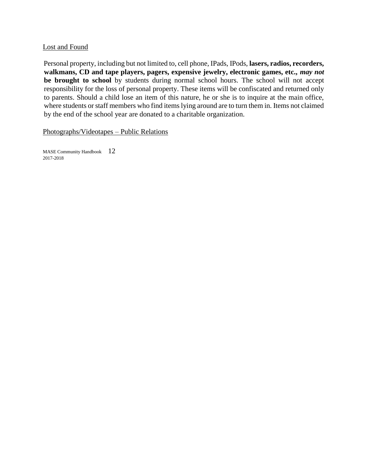#### Lost and Found

Personal property, including but not limited to, cell phone, IPads, IPods, **lasers, radios, recorders, walkmans, CD and tape players, pagers, expensive jewelry, electronic games, etc.,** *may not* **be brought to school** by students during normal school hours. The school will not accept responsibility for the loss of personal property. These items will be confiscated and returned only to parents. Should a child lose an item of this nature, he or she is to inquire at the main office, where students or staff members who find items lying around are to turn them in. Items not claimed by the end of the school year are donated to a charitable organization.

Photographs/Videotapes – Public Relations

MASE Community Handbook 12 2017-2018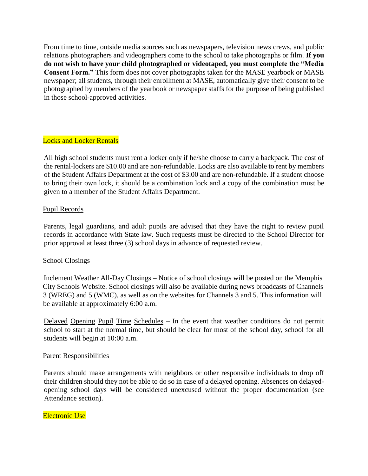From time to time, outside media sources such as newspapers, television news crews, and public relations photographers and videographers come to the school to take photographs or film. **If you do not wish to have your child photographed or videotaped, you must complete the "Media Consent Form."** This form does not cover photographs taken for the MASE yearbook or MASE newspaper; all students, through their enrollment at MASE, automatically give their consent to be photographed by members of the yearbook or newspaper staffs for the purpose of being published in those school-approved activities.

#### Locks and Locker Rentals

All high school students must rent a locker only if he/she choose to carry a backpack. The cost of the rental-lockers are \$10.00 and are non-refundable. Locks are also available to rent by members of the Student Affairs Department at the cost of \$3.00 and are non-refundable. If a student choose to bring their own lock, it should be a combination lock and a copy of the combination must be given to a member of the Student Affairs Department.

#### Pupil Records

Parents, legal guardians, and adult pupils are advised that they have the right to review pupil records in accordance with State law. Such requests must be directed to the School Director for prior approval at least three (3) school days in advance of requested review.

#### School Closings

Inclement Weather All-Day Closings – Notice of school closings will be posted on the Memphis City Schools Website. School closings will also be available during news broadcasts of Channels 3 (WREG) and 5 (WMC), as well as on the websites for Channels 3 and 5. This information will be available at approximately 6:00 a.m.

Delayed Opening Pupil Time Schedules – In the event that weather conditions do not permit school to start at the normal time, but should be clear for most of the school day, school for all students will begin at 10:00 a.m.

#### Parent Responsibilities

Parents should make arrangements with neighbors or other responsible individuals to drop off their children should they not be able to do so in case of a delayed opening. Absences on delayedopening school days will be considered unexcused without the proper documentation (see Attendance section).

#### Electronic Use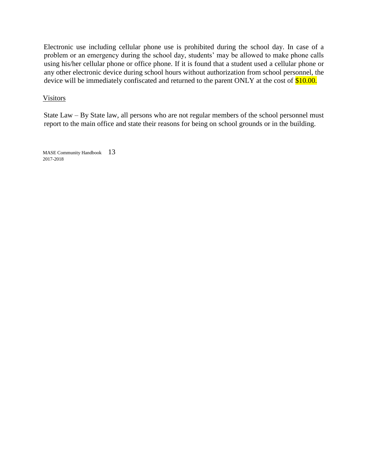Electronic use including cellular phone use is prohibited during the school day. In case of a problem or an emergency during the school day, students' may be allowed to make phone calls using his/her cellular phone or office phone. If it is found that a student used a cellular phone or any other electronic device during school hours without authorization from school personnel, the device will be immediately confiscated and returned to the parent ONLY at the cost of \$10.00.

#### **Visitors**

State Law – By State law, all persons who are not regular members of the school personnel must report to the main office and state their reasons for being on school grounds or in the building.

MASE Community Handbook 13 2017-2018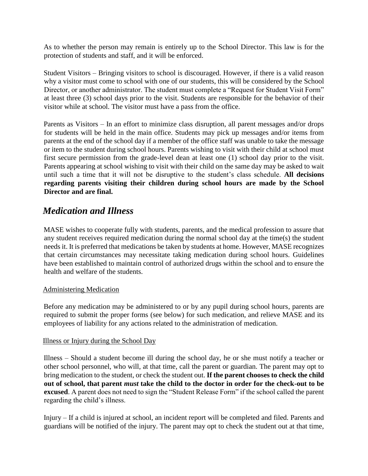As to whether the person may remain is entirely up to the School Director. This law is for the protection of students and staff, and it will be enforced.

Student Visitors – Bringing visitors to school is discouraged. However, if there is a valid reason why a visitor must come to school with one of our students, this will be considered by the School Director, or another administrator. The student must complete a "Request for Student Visit Form" at least three (3) school days prior to the visit. Students are responsible for the behavior of their visitor while at school. The visitor must have a pass from the office.

Parents as Visitors – In an effort to minimize class disruption, all parent messages and/or drops for students will be held in the main office. Students may pick up messages and/or items from parents at the end of the school day if a member of the office staff was unable to take the message or item to the student during school hours. Parents wishing to visit with their child at school must first secure permission from the grade-level dean at least one (1) school day prior to the visit. Parents appearing at school wishing to visit with their child on the same day may be asked to wait until such a time that it will not be disruptive to the student's class schedule. **All decisions regarding parents visiting their children during school hours are made by the School Director and are final.**

## *Medication and Illness*

MASE wishes to cooperate fully with students, parents, and the medical profession to assure that any student receives required medication during the normal school day at the time(s) the student needs it. It is preferred that medications be taken by students at home. However, MASE recognizes that certain circumstances may necessitate taking medication during school hours. Guidelines have been established to maintain control of authorized drugs within the school and to ensure the health and welfare of the students.

#### Administering Medication

Before any medication may be administered to or by any pupil during school hours, parents are required to submit the proper forms (see below) for such medication, and relieve MASE and its employees of liability for any actions related to the administration of medication.

#### Illness or Injury during the School Day

Illness – Should a student become ill during the school day, he or she must notify a teacher or other school personnel, who will, at that time, call the parent or guardian. The parent may opt to bring medication to the student, or check the student out. **If the parent chooses to check the child out of school, that parent** *must* **take the child to the doctor in order for the check-out to be excused**. A parent does not need to sign the "Student Release Form" if the school called the parent regarding the child's illness.

Injury – If a child is injured at school, an incident report will be completed and filed. Parents and guardians will be notified of the injury. The parent may opt to check the student out at that time,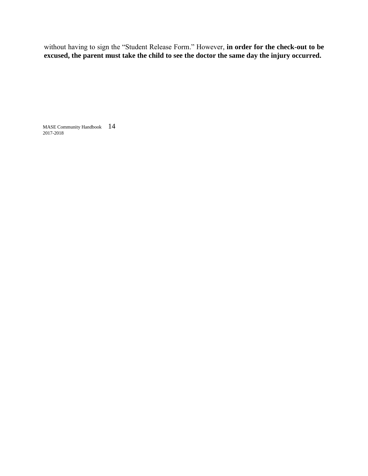without having to sign the "Student Release Form." However, **in order for the check-out to be excused, the parent must take the child to see the doctor the same day the injury occurred.**

MASE Community Handbook 14 2017-2018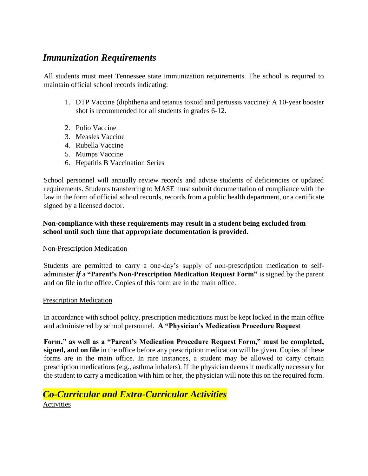## *Immunization Requirements*

All students must meet Tennessee state immunization requirements. The school is required to maintain official school records indicating:

- 1. DTP Vaccine (diphtheria and tetanus toxoid and pertussis vaccine): A 10-year booster shot is recommended for all students in grades 6-12.
- 2. Polio Vaccine
- 3. Measles Vaccine
- 4. Rubella Vaccine
- 5. Mumps Vaccine
- 6. Hepatitis B Vaccination Series

School personnel will annually review records and advise students of deficiencies or updated requirements. Students transferring to MASE must submit documentation of compliance with the law in the form of official school records, records from a public health department, or a certificate signed by a licensed doctor.

#### **Non-compliance with these requirements may result in a student being excluded from school until such time that appropriate documentation is provided.**

#### Non-Prescription Medication

Students are permitted to carry a one-day's supply of non-prescription medication to selfadminister *if* a **"Parent's Non-Prescription Medication Request Form"** is signed by the parent and on file in the office. Copies of this form are in the main office.

#### Prescription Medication

In accordance with school policy, prescription medications must be kept locked in the main office and administered by school personnel. **A "Physician's Medication Procedure Request**

**Form," as well as a "Parent's Medication Procedure Request Form," must be completed, signed, and on file** in the office before any prescription medication will be given. Copies of these forms are in the main office. In rare instances, a student may be allowed to carry certain prescription medications (e.g., asthma inhalers). If the physician deems it medically necessary for the student to carry a medication with him or her, the physician will note this on the required form.

```
Co-Curricular and Extra-Curricular Activities
Activities
```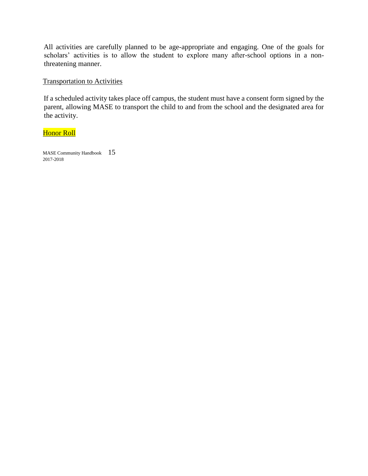All activities are carefully planned to be age-appropriate and engaging. One of the goals for scholars' activities is to allow the student to explore many after-school options in a nonthreatening manner.

#### Transportation to Activities

If a scheduled activity takes place off campus, the student must have a consent form signed by the parent, allowing MASE to transport the child to and from the school and the designated area for the activity.

Honor Roll

MASE Community Handbook 15 2017-2018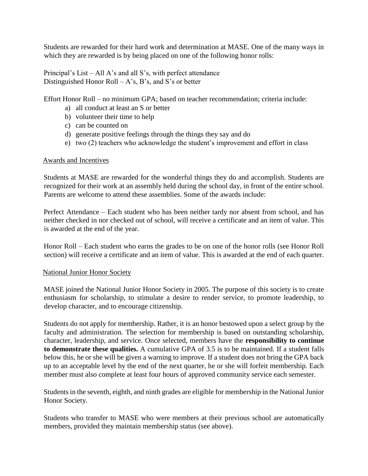Students are rewarded for their hard work and determination at MASE. One of the many ways in which they are rewarded is by being placed on one of the following honor rolls:

Principal's List – All A's and all S's, with perfect attendance Distinguished Honor Roll – A's, B's, and S's or better

Effort Honor Roll – no minimum GPA; based on teacher recommendation; criteria include:

- a) all conduct at least an S or better
- b) volunteer their time to help
- c) can be counted on
- d) generate positive feelings through the things they say and do
- e) two (2) teachers who acknowledge the student's improvement and effort in class

#### Awards and Incentives

Students at MASE are rewarded for the wonderful things they do and accomplish. Students are recognized for their work at an assembly held during the school day, in front of the entire school. Parents are welcome to attend these assemblies. Some of the awards include:

Perfect Attendance – Each student who has been neither tardy nor absent from school, and has neither checked in nor checked out of school, will receive a certificate and an item of value. This is awarded at the end of the year.

Honor Roll – Each student who earns the grades to be on one of the honor rolls (see Honor Roll section) will receive a certificate and an item of value. This is awarded at the end of each quarter.

#### National Junior Honor Society

MASE joined the National Junior Honor Society in 2005. The purpose of this society is to create enthusiasm for scholarship, to stimulate a desire to render service, to promote leadership, to develop character, and to encourage citizenship.

Students do not apply for membership. Rather, it is an honor bestowed upon a select group by the faculty and administration. The selection for membership is based on outstanding scholarship, character, leadership, and service. Once selected, members have the **responsibility to continue to demonstrate these qualities.** A cumulative GPA of 3.5 is to be maintained. If a student falls below this, he or she will be given a warning to improve. If a student does not bring the GPA back up to an acceptable level by the end of the next quarter, he or she will forfeit membership. Each member must also complete at least four hours of approved community service each semester.

Students in the seventh, eighth, and ninth grades are eligible for membership in the National Junior Honor Society.

Students who transfer to MASE who were members at their previous school are automatically members, provided they maintain membership status (see above).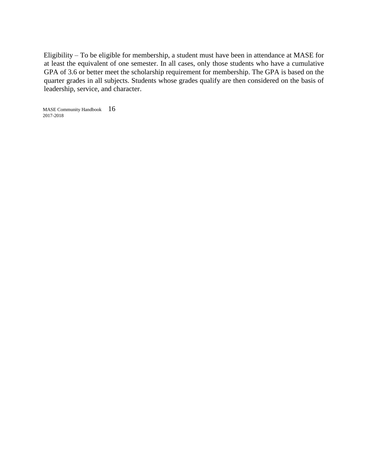Eligibility – To be eligible for membership, a student must have been in attendance at MASE for at least the equivalent of one semester. In all cases, only those students who have a cumulative GPA of 3.6 or better meet the scholarship requirement for membership. The GPA is based on the quarter grades in all subjects. Students whose grades qualify are then considered on the basis of leadership, service, and character.

MASE Community Handbook 16 2017-2018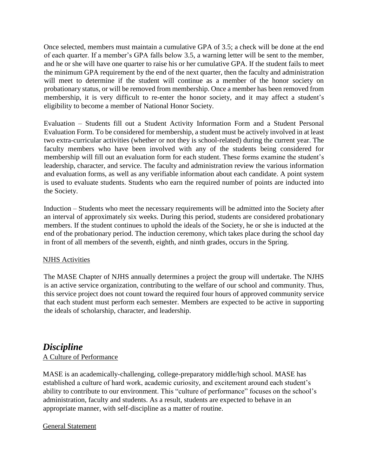Once selected, members must maintain a cumulative GPA of 3.5; a check will be done at the end of each quarter. If a member's GPA falls below 3.5, a warning letter will be sent to the member, and he or she will have one quarter to raise his or her cumulative GPA. If the student fails to meet the minimum GPA requirement by the end of the next quarter, then the faculty and administration will meet to determine if the student will continue as a member of the honor society on probationary status, or will be removed from membership. Once a member has been removed from membership, it is very difficult to re-enter the honor society, and it may affect a student's eligibility to become a member of National Honor Society.

Evaluation – Students fill out a Student Activity Information Form and a Student Personal Evaluation Form. To be considered for membership, a student must be actively involved in at least two extra-curricular activities (whether or not they is school-related) during the current year. The faculty members who have been involved with any of the students being considered for membership will fill out an evaluation form for each student. These forms examine the student's leadership, character, and service. The faculty and administration review the various information and evaluation forms, as well as any verifiable information about each candidate. A point system is used to evaluate students. Students who earn the required number of points are inducted into the Society.

Induction – Students who meet the necessary requirements will be admitted into the Society after an interval of approximately six weeks. During this period, students are considered probationary members. If the student continues to uphold the ideals of the Society, he or she is inducted at the end of the probationary period. The induction ceremony, which takes place during the school day in front of all members of the seventh, eighth, and ninth grades, occurs in the Spring.

#### NJHS Activities

The MASE Chapter of NJHS annually determines a project the group will undertake. The NJHS is an active service organization, contributing to the welfare of our school and community. Thus, this service project does not count toward the required four hours of approved community service that each student must perform each semester. Members are expected to be active in supporting the ideals of scholarship, character, and leadership.

## *Discipline*

#### A Culture of Performance

MASE is an academically-challenging, college-preparatory middle/high school. MASE has established a culture of hard work, academic curiosity, and excitement around each student's ability to contribute to our environment. This "culture of performance" focuses on the school's administration, faculty and students. As a result, students are expected to behave in an appropriate manner, with self-discipline as a matter of routine.

#### General Statement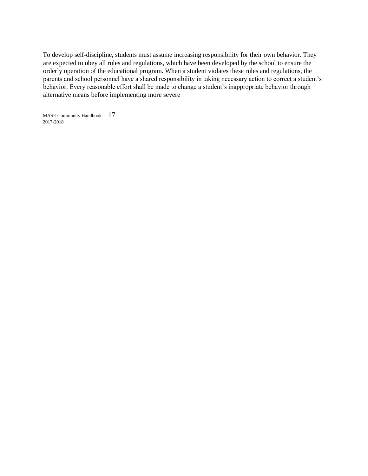To develop self-discipline, students must assume increasing responsibility for their own behavior. They are expected to obey all rules and regulations, which have been developed by the school to ensure the orderly operation of the educational program. When a student violates these rules and regulations, the parents and school personnel have a shared responsibility in taking necessary action to correct a student's behavior. Every reasonable effort shall be made to change a student's inappropriate behavior through alternative means before implementing more severe

MASE Community Handbook 17 2017-2018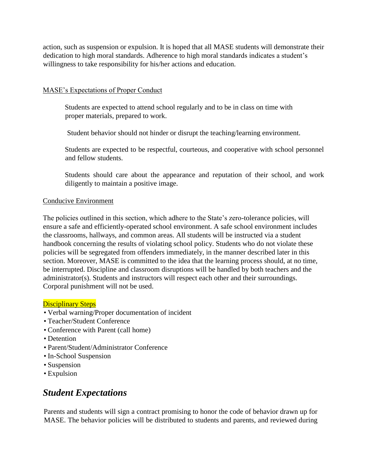action, such as suspension or expulsion. It is hoped that all MASE students will demonstrate their dedication to high moral standards. Adherence to high moral standards indicates a student's willingness to take responsibility for his/her actions and education.

#### MASE's Expectations of Proper Conduct

Students are expected to attend school regularly and to be in class on time with proper materials, prepared to work.

Student behavior should not hinder or disrupt the teaching/learning environment.

Students are expected to be respectful, courteous, and cooperative with school personnel and fellow students.

Students should care about the appearance and reputation of their school, and work diligently to maintain a positive image.

#### Conducive Environment

The policies outlined in this section, which adhere to the State's zero-tolerance policies, will ensure a safe and efficiently-operated school environment. A safe school environment includes the classrooms, hallways, and common areas. All students will be instructed via a student handbook concerning the results of violating school policy. Students who do not violate these policies will be segregated from offenders immediately, in the manner described later in this section. Moreover, MASE is committed to the idea that the learning process should, at no time, be interrupted. Discipline and classroom disruptions will be handled by both teachers and the administrator(s). Students and instructors will respect each other and their surroundings. Corporal punishment will not be used.

#### **Disciplinary Steps**

- Verbal warning/Proper documentation of incident
- Teacher/Student Conference
- Conference with Parent (call home)
- Detention
- Parent/Student/Administrator Conference
- In-School Suspension
- Suspension
- Expulsion

## *Student Expectations*

Parents and students will sign a contract promising to honor the code of behavior drawn up for MASE. The behavior policies will be distributed to students and parents, and reviewed during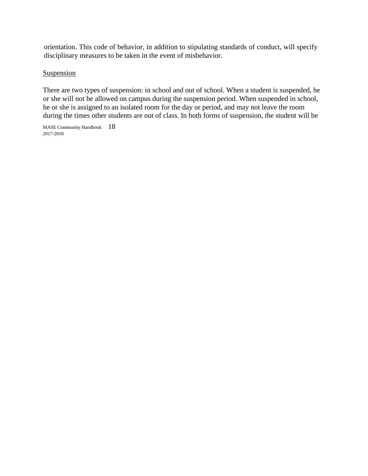orientation. This code of behavior, in addition to stipulating standards of conduct, will specify disciplinary measures to be taken in the event of misbehavior.

#### **Suspension**

There are two types of suspension: in school and out of school. When a student is suspended, he or she will not be allowed on campus during the suspension period. When suspended in school, he or she is assigned to an isolated room for the day or period, and may not leave the room during the times other students are out of class. In both forms of suspension, the student will be

MASE Community Handbook 18 2017-2018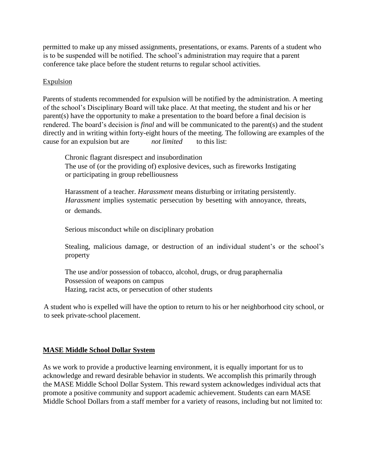permitted to make up any missed assignments, presentations, or exams. Parents of a student who is to be suspended will be notified. The school's administration may require that a parent conference take place before the student returns to regular school activities.

#### Expulsion

Parents of students recommended for expulsion will be notified by the administration. A meeting of the school's Disciplinary Board will take place. At that meeting, the student and his or her parent(s) have the opportunity to make a presentation to the board before a final decision is rendered. The board's decision is *final* and will be communicated to the parent(s) and the student directly and in writing within forty-eight hours of the meeting. The following are examples of the cause for an expulsion but are *not limited* to this list:

Chronic flagrant disrespect and insubordination The use of (or the providing of) explosive devices, such as fireworks Instigating or participating in group rebelliousness

Harassment of a teacher. *Harassment* means disturbing or irritating persistently. *Harassment* implies systematic persecution by besetting with annoyance, threats, or demands.

Serious misconduct while on disciplinary probation

Stealing, malicious damage, or destruction of an individual student's or the school's property

The use and/or possession of tobacco, alcohol, drugs, or drug paraphernalia Possession of weapons on campus Hazing, racist acts, or persecution of other students

A student who is expelled will have the option to return to his or her neighborhood city school, or to seek private-school placement.

#### **MASE Middle School Dollar System**

As we work to provide a productive learning environment, it is equally important for us to acknowledge and reward desirable behavior in students. We accomplish this primarily through the MASE Middle School Dollar System. This reward system acknowledges individual acts that promote a positive community and support academic achievement. Students can earn MASE Middle School Dollars from a staff member for a variety of reasons, including but not limited to: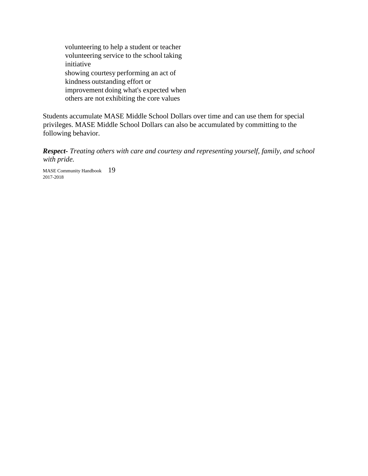volunteering to help a student or teacher volunteering service to the school taking initiative showing courtesy performing an act of kindness outstanding effort or improvement doing what's expected when others are not exhibiting the core values

Students accumulate MASE Middle School Dollars over time and can use them for special privileges. MASE Middle School Dollars can also be accumulated by committing to the following behavior.

*Respect- Treating others with care and courtesy and representing yourself, family, and school with pride.*

MASE Community Handbook 19 2017-2018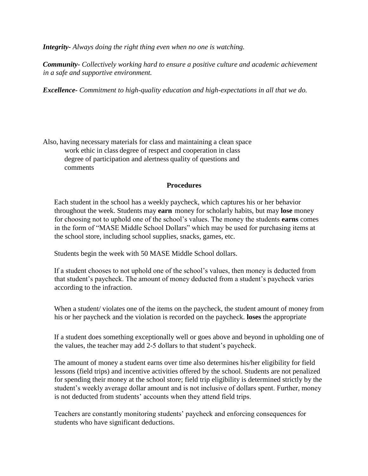*Integrity- Always doing the right thing even when no one is watching.*

*Community- Collectively working hard to ensure a positive culture and academic achievement in a safe and supportive environment.*

*Excellence- Commitment to high-quality education and high-expectations in all that we do.*

Also, having necessary materials for class and maintaining a clean space work ethic in class degree of respect and cooperation in class degree of participation and alertness quality of questions and comments

#### **Procedures**

Each student in the school has a weekly paycheck, which captures his or her behavior throughout the week. Students may **earn** money for scholarly habits, but may **lose** money for choosing not to uphold one of the school's values. The money the students **earns** comes in the form of "MASE Middle School Dollars" which may be used for purchasing items at the school store, including school supplies, snacks, games, etc.

Students begin the week with 50 MASE Middle School dollars.

If a student chooses to not uphold one of the school's values, then money is deducted from that student's paycheck. The amount of money deducted from a student's paycheck varies according to the infraction.

When a student/ violates one of the items on the paycheck, the student amount of money from his or her paycheck and the violation is recorded on the paycheck. **loses** the appropriate

If a student does something exceptionally well or goes above and beyond in upholding one of the values, the teacher may add 2-5 dollars to that student's paycheck.

The amount of money a student earns over time also determines his/her eligibility for field lessons (field trips) and incentive activities offered by the school. Students are not penalized for spending their money at the school store; field trip eligibility is determined strictly by the student's weekly average dollar amount and is not inclusive of dollars spent. Further, money is not deducted from students' accounts when they attend field trips.

Teachers are constantly monitoring students' paycheck and enforcing consequences for students who have significant deductions.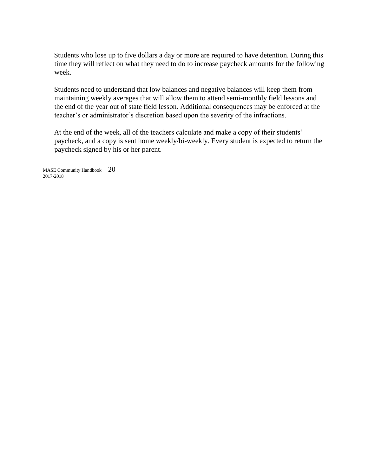Students who lose up to five dollars a day or more are required to have detention. During this time they will reflect on what they need to do to increase paycheck amounts for the following week.

Students need to understand that low balances and negative balances will keep them from maintaining weekly averages that will allow them to attend semi-monthly field lessons and the end of the year out of state field lesson. Additional consequences may be enforced at the teacher's or administrator's discretion based upon the severity of the infractions.

At the end of the week, all of the teachers calculate and make a copy of their students' paycheck, and a copy is sent home weekly/bi-weekly. Every student is expected to return the paycheck signed by his or her parent.

MASE Community Handbook 20 2017-2018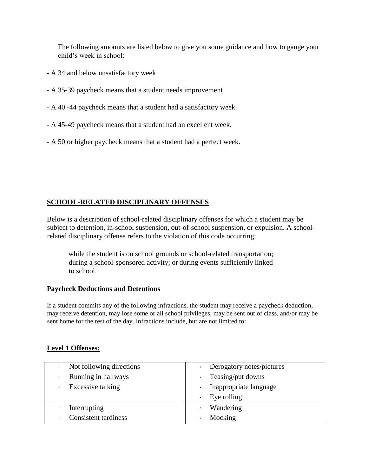The following amounts are listed below to give you some guidance and how to gauge your child's week in school:

- A 34 and below unsatisfactory week
- A 35-39 paycheck means that a student needs improvement
- A 40 -44 paycheck means that a student had a satisfactory week.
- A 45-49 paycheck means that a student had an excellent week.
- A 50 or higher paycheck means that a student had a perfect week.

#### **SCHOOL-RELATED DISCIPLINARY OFFENSES**

Below is a description of school-related disciplinary offenses for which a student may be subject to detention, in-school suspension, out-of-school suspension, or expulsion. A schoolrelated disciplinary offense refers to the violation of this code occurring:

while the student is on school grounds or school-related transportation; during a school-sponsored activity; or during events sufficiently linked to school.

#### **Paycheck Deductions and Detentions**

If a student commits any of the following infractions, the student may receive a paycheck deduction, may receive detention, may lose some or all school privileges, may be sent out of class, and/or may be sent home for the rest of the day. Infractions include, but are not limited to:

| Not following directions    | Derogatory notes/pictures |
|-----------------------------|---------------------------|
| Running in hallways         | Teasing/put downs         |
| Excessive talking           | Inappropriate language    |
|                             | Eye rolling               |
| Interrupting                | Wandering                 |
| <b>Consistent tardiness</b> | Mocking                   |

#### **Level 1 Offenses:**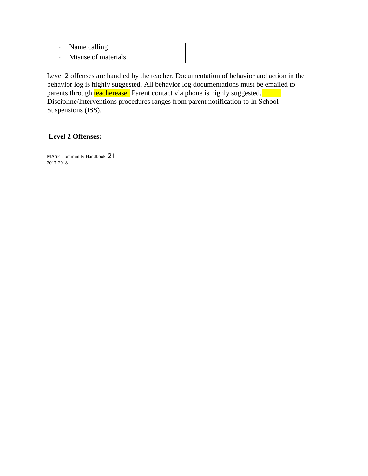∙ Name calling ∙ Misuse of materials

Level 2 offenses are handled by the teacher. Documentation of behavior and action in the behavior log is highly suggested. All behavior log documentations must be emailed to parents through **teacherease.** Parent contact via phone is highly suggested. Discipline/Interventions procedures ranges from parent notification to In School Suspensions (ISS).

#### **Level 2 Offenses:**

MASE Community Handbook 21 2017-2018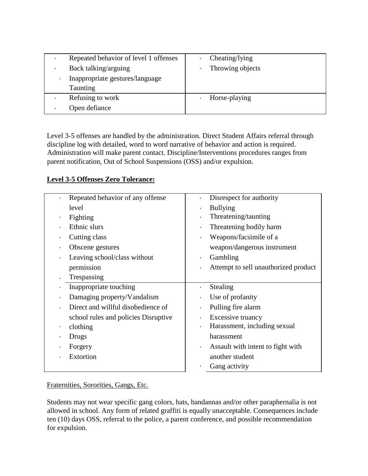| Repeated behavior of level 1 offenses | Cheating/lying   |
|---------------------------------------|------------------|
| Back talking/arguing                  | Throwing objects |
| Inappropriate gestures/language       |                  |
| Taunting                              |                  |
| Refusing to work                      | Horse-playing    |
| Open defiance                         |                  |

Level 3-5 offenses are handled by the administration. Direct Student Affairs referral through discipline log with detailed, word to word narrative of behavior and action is required. Administration will make parent contact. Discipline/Interventions procedures ranges from parent notification, Out of School Suspensions (OSS) and/or expulsion.

#### **Level 3-5 Offenses Zero Tolerance:**

| Repeated behavior of any offense     | Disrespect for authority                       |
|--------------------------------------|------------------------------------------------|
| level                                | <b>Bullying</b>                                |
| Fighting                             | Threatening/taunting                           |
| Ethnic slurs                         | Threatening bodily harm                        |
| Cutting class                        | Weapons/facsimile of a                         |
| Obscene gestures                     | weapon/dangerous instrument                    |
| Leaving school/class without         | Gambling<br>$\bullet$                          |
| permission                           | Attempt to sell unauthorized product           |
| Trespassing                          |                                                |
| Inappropriate touching               | Stealing                                       |
| Damaging property/Vandalism<br>٠     | Use of profanity                               |
| Direct and willful disobedience of   | Pulling fire alarm<br>$\bullet$                |
| school rules and policies Disruptive | Excessive truancy<br>٠                         |
| clothing<br>٠                        | Harassment, including sexual                   |
| Drugs                                | harassment                                     |
| Forgery                              | Assault with intent to fight with<br>$\bullet$ |
| Extortion                            | another student                                |
|                                      | Gang activity                                  |
|                                      |                                                |

Fraternities, Sororities, Gangs, Etc.

Students may not wear specific gang colors, hats, bandannas and/or other paraphernalia is not allowed in school. Any form of related graffiti is equally unacceptable. Consequences include ten (10) days OSS, referral to the police, a parent conference, and possible recommendation for expulsion.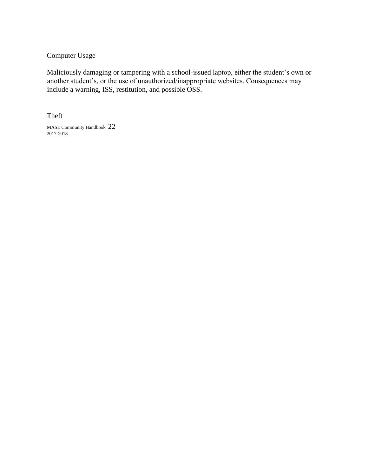#### Computer Usage

Maliciously damaging or tampering with a school-issued laptop, either the student's own or another student's, or the use of unauthorized/inappropriate websites. Consequences may include a warning, ISS, restitution, and possible OSS.

**Theft** 

MASE Community Handbook 22 2017-2018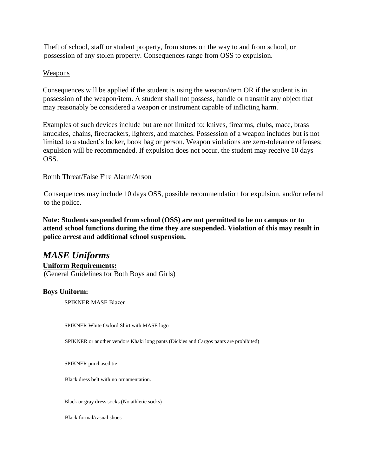Theft of school, staff or student property, from stores on the way to and from school, or possession of any stolen property. Consequences range from OSS to expulsion.

#### Weapons

Consequences will be applied if the student is using the weapon/item OR if the student is in possession of the weapon/item. A student shall not possess, handle or transmit any object that may reasonably be considered a weapon or instrument capable of inflicting harm.

Examples of such devices include but are not limited to: knives, firearms, clubs, mace, brass knuckles, chains, firecrackers, lighters, and matches. Possession of a weapon includes but is not limited to a student's locker, book bag or person. Weapon violations are zero-tolerance offenses; expulsion will be recommended. If expulsion does not occur, the student may receive 10 days OSS.

#### Bomb Threat/False Fire Alarm/Arson

Consequences may include 10 days OSS, possible recommendation for expulsion, and/or referral to the police.

**Note: Students suspended from school (OSS) are not permitted to be on campus or to attend school functions during the time they are suspended. Violation of this may result in police arrest and additional school suspension.**

#### *MASE Uniforms* **Uniform Requirements:** (General Guidelines for Both Boys and Girls)

#### **Boys Uniform:**

SPIKNER MASE Blazer

SPIKNER White Oxford Shirt with MASE logo

SPIKNER or another vendors Khaki long pants (Dickies and Cargos pants are prohibited)

SPIKNER purchased tie

Black dress belt with no ornamentation.

Black or gray dress socks (No athletic socks)

Black formal/casual shoes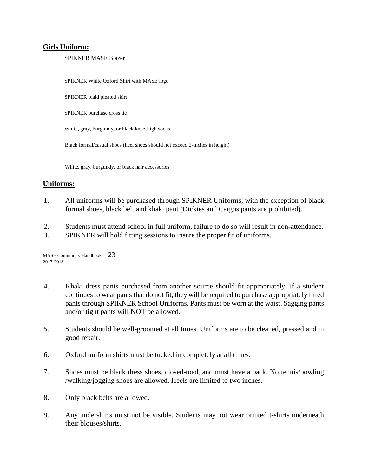#### **Girls Uniform:**

SPIKNER MASE Blazer

SPIKNER White Oxford Shirt with MASE logo

SPIKNER plaid pleated skirt

SPIKNER purchase cross tie

White, gray, burgundy, or black knee-high socks

Black formal/casual shoes (heel shoes should not exceed 2-inches in height)

White, gray, burgundy, or black hair accessories

#### **Uniforms:**

- 1. All uniforms will be purchased through SPIKNER Uniforms, with the exception of black formal shoes, black belt and khaki pant (Dickies and Cargos pants are prohibited).
- 2. Students must attend school in full uniform, failure to do so will result in non-attendance.
- 3. SPIKNER will hold fitting sessions to insure the proper fit of uniforms.

MASE Community Handbook 23 2017-2018

- 4. Khaki dress pants purchased from another source should fit appropriately. If a student continues to wear pants that do not fit, they will be required to purchase appropriately fitted pants through SPIKNER School Uniforms. Pants must be worn at the waist. Sagging pants and/or tight pants will NOT be allowed.
- 5. Students should be well-groomed at all times. Uniforms are to be cleaned, pressed and in good repair.
- 6. Oxford uniform shirts must be tucked in completely at all times.
- 7. Shoes must be black dress shoes, closed-toed, and must have a back. No tennis/bowling /walking/jogging shoes are allowed. Heels are limited to two inches.
- 8. Only black belts are allowed.
- 9. Any undershirts must not be visible. Students may not wear printed t-shirts underneath their blouses/shirts.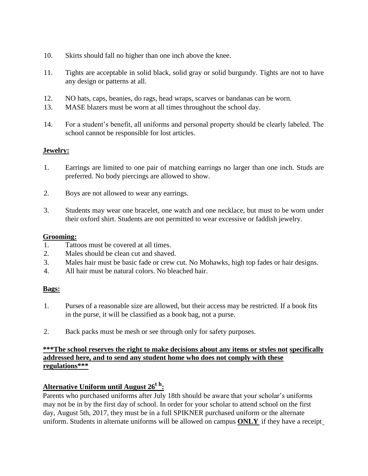- 10. Skirts should fall no higher than one inch above the knee.
- 11. Tights are acceptable in solid black, solid gray or solid burgundy. Tights are not to have any design or patterns at all.
- 12. NO hats, caps, beanies, do rags, head wraps, scarves or bandanas can be worn.
- 13. MASE blazers must be worn at all times throughout the school day.
- 14. For a student's benefit, all uniforms and personal property should be clearly labeled. The school cannot be responsible for lost articles.

#### **Jewelry:**

- 1. Earrings are limited to one pair of matching earrings no larger than one inch. Studs are preferred. No body piercings are allowed to show.
- 2. Boys are not allowed to wear any earrings.
- 3. Students may wear one bracelet, one watch and one necklace, but must to be worn under their oxford shirt. Students are not permitted to wear excessive or faddish jewelry.

#### **Grooming:**

- 1. Tattoos must be covered at all times.
- 2. Males should be clean cut and shaved.
- 3. Males hair must be basic fade or crew cut. No Mohawks, high top fades or hair designs.
- 4. All hair must be natural colors. No bleached hair.

#### **Bags:**

- 1. Purses of a reasonable size are allowed, but their access may be restricted. If a book fits in the purse, it will be classified as a book bag, not a purse.
- 2. Back packs must be mesh or see through only for safety purposes.

#### **\*\*\*The school reserves the right to make decisions about any items or styles not specifically addressed here, and to send any student home who does not comply with these regulations\*\*\***

## **Alternative Uniform until August 26<sup>t</sup> <sup>h</sup> :**

Parents who purchased uniforms after July 18th should be aware that your scholar's uniforms may not be in by the first day of school. In order for your scholar to attend school on the first day, August 5th, 2017, they must be in a full SPIKNER purchased uniform or the alternate uniform. Students in alternate uniforms will be allowed on campus **ONLY** if they have a receipt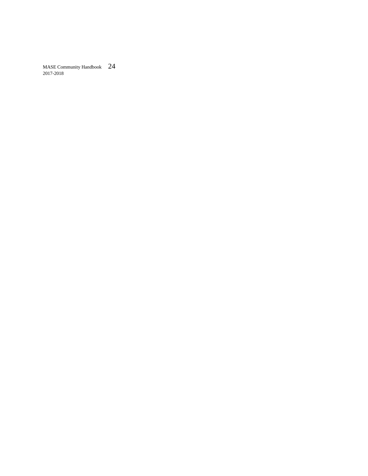MASE Community Handbook 24 2017-2018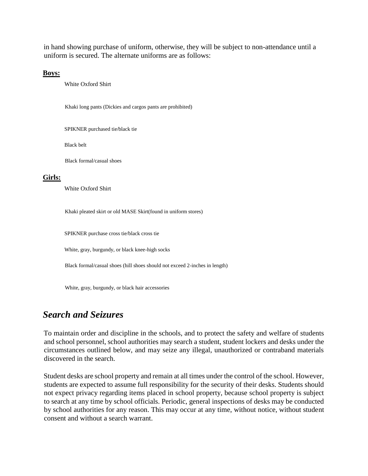in hand showing purchase of uniform, otherwise, they will be subject to non-attendance until a uniform is secured. The alternate uniforms are as follows:

#### **Boys:**

White Oxford Shirt

Khaki long pants (Dickies and cargos pants are prohibited)

SPIKNER purchased tie/black tie

Black belt

Black formal/casual shoes

#### **Girls:**

White Oxford Shirt

Khaki pleated skirt or old MASE Skirt(found in uniform stores)

SPIKNER purchase cross tie/black cross tie

White, gray, burgundy, or black knee-high socks

Black formal/casual shoes (hill shoes should not exceed 2-inches in length)

White, gray, burgundy, or black hair accessories

## *Search and Seizures*

To maintain order and discipline in the schools, and to protect the safety and welfare of students and school personnel, school authorities may search a student, student lockers and desks under the circumstances outlined below, and may seize any illegal, unauthorized or contraband materials discovered in the search.

Student desks are school property and remain at all times under the control of the school. However, students are expected to assume full responsibility for the security of their desks. Students should not expect privacy regarding items placed in school property, because school property is subject to search at any time by school officials. Periodic, general inspections of desks may be conducted by school authorities for any reason. This may occur at any time, without notice, without student consent and without a search warrant.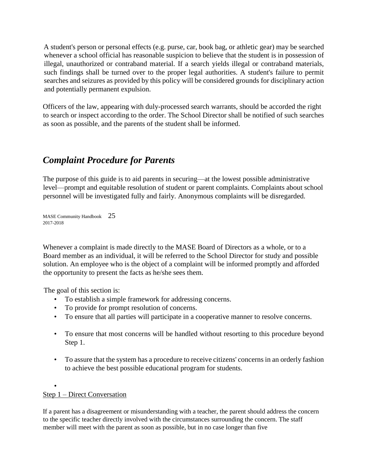A student's person or personal effects (e.g. purse, car, book bag, or athletic gear) may be searched whenever a school official has reasonable suspicion to believe that the student is in possession of illegal, unauthorized or contraband material. If a search yields illegal or contraband materials, such findings shall be turned over to the proper legal authorities. A student's failure to permit searches and seizures as provided by this policy will be considered grounds for disciplinary action and potentially permanent expulsion.

Officers of the law, appearing with duly-processed search warrants, should be accorded the right to search or inspect according to the order. The School Director shall be notified of such searches as soon as possible, and the parents of the student shall be informed.

## *Complaint Procedure for Parents*

The purpose of this guide is to aid parents in securing—at the lowest possible administrative level—prompt and equitable resolution of student or parent complaints. Complaints about school personnel will be investigated fully and fairly. Anonymous complaints will be disregarded.

MASE Community Handbook 25 2017-2018

Whenever a complaint is made directly to the MASE Board of Directors as a whole, or to a Board member as an individual, it will be referred to the School Director for study and possible solution. An employee who is the object of a complaint will be informed promptly and afforded the opportunity to present the facts as he/she sees them.

The goal of this section is:

- To establish a simple framework for addressing concerns.
- To provide for prompt resolution of concerns.
- To ensure that all parties will participate in a cooperative manner to resolve concerns.
- To ensure that most concerns will be handled without resorting to this procedure beyond Step 1.
- To assure that the system has a procedure to receive citizens' concerns in an orderly fashion to achieve the best possible educational program for students.

• Step 1 – Direct Conversation

If a parent has a disagreement or misunderstanding with a teacher, the parent should address the concern to the specific teacher directly involved with the circumstances surrounding the concern. The staff member will meet with the parent as soon as possible, but in no case longer than five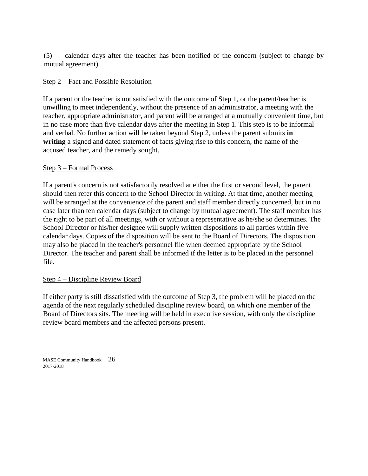(5) calendar days after the teacher has been notified of the concern (subject to change by mutual agreement).

#### Step 2 – Fact and Possible Resolution

If a parent or the teacher is not satisfied with the outcome of Step 1, or the parent/teacher is unwilling to meet independently, without the presence of an administrator, a meeting with the teacher, appropriate administrator, and parent will be arranged at a mutually convenient time, but in no case more than five calendar days after the meeting in Step 1. This step is to be informal and verbal. No further action will be taken beyond Step 2, unless the parent submits **in writing** a signed and dated statement of facts giving rise to this concern, the name of the accused teacher, and the remedy sought.

#### Step 3 – Formal Process

If a parent's concern is not satisfactorily resolved at either the first or second level, the parent should then refer this concern to the School Director in writing. At that time, another meeting will be arranged at the convenience of the parent and staff member directly concerned, but in no case later than ten calendar days (subject to change by mutual agreement). The staff member has the right to be part of all meetings, with or without a representative as he/she so determines. The School Director or his/her designee will supply written dispositions to all parties within five calendar days. Copies of the disposition will be sent to the Board of Directors. The disposition may also be placed in the teacher's personnel file when deemed appropriate by the School Director. The teacher and parent shall be informed if the letter is to be placed in the personnel file.

#### Step 4 – Discipline Review Board

If either party is still dissatisfied with the outcome of Step 3, the problem will be placed on the agenda of the next regularly scheduled discipline review board, on which one member of the Board of Directors sits. The meeting will be held in executive session, with only the discipline review board members and the affected persons present.

MASE Community Handbook 26 2017-2018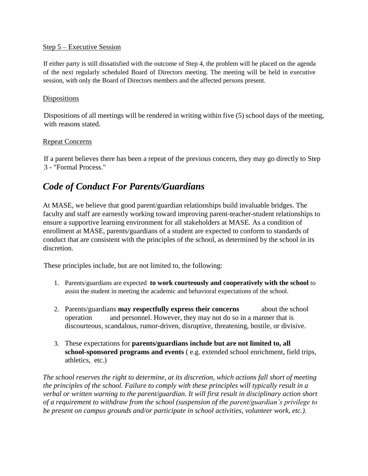#### Step 5 – Executive Session

If either party is still dissatisfied with the outcome of Step 4, the problem will be placed on the agenda of the next regularly scheduled Board of Directors meeting. The meeting will be held in executive session, with only the Board of Directors members and the affected persons present.

#### **Dispositions**

Dispositions of all meetings will be rendered in writing within five (5) school days of the meeting, with reasons stated.

#### Repeat Concerns

If a parent believes there has been a repeat of the previous concern, they may go directly to Step 3 - "Formal Process."

## *Code of Conduct For Parents/Guardians*

At MASE, we believe that good parent/guardian relationships build invaluable bridges. The faculty and staff are earnestly working toward improving parent-teacher-student relationships to ensure a supportive learning environment for all stakeholders at MASE. As a condition of enrollment at MASE, parents/guardians of a student are expected to conform to standards of conduct that are consistent with the principles of the school, as determined by the school in its discretion.

These principles include, but are not limited to, the following:

- 1. Parents/guardians are expected **to work courteously and cooperatively with the school** to assist the student in meeting the academic and behavioral expectations of the school.
- 2. Parents/guardians **may respectfully express their concerns** about the school operation and personnel. However, they may not do so in a manner that is discourteous, scandalous, rumor-driven, disruptive, threatening, hostile, or divisive.
- 3. These expectations for **parents/guardians include but are not limited to, all school-sponsored programs and events** ( e.g. extended school enrichment, field trips, athletics, etc.)

*The school reserves the right to determine, at its discretion, which actions fall short of meeting the principles of the school. Failure to comply with these principles will typically result in a verbal or written warning to the parent/guardian. It will first result in disciplinary action short of a requirement to withdraw from the school (suspension of the parent/guardian's privilege to be present on campus grounds and/or participate in school activities, volunteer work, etc.).*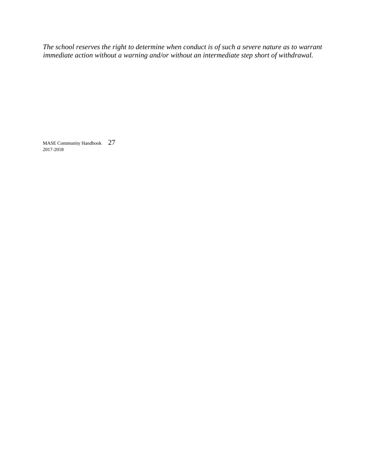*The school reserves the right to determine when conduct is of such a severe nature as to warrant immediate action without a warning and/or without an intermediate step short of withdrawal.*

MASE Community Handbook 27 2017-2018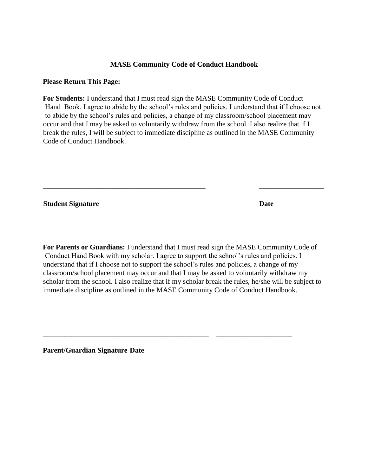#### **MASE Community Code of Conduct Handbook**

#### **Please Return This Page:**

**For Students:** I understand that I must read sign the MASE Community Code of Conduct Hand Book. I agree to abide by the school's rules and policies. I understand that if I choose not to abide by the school's rules and policies, a change of my classroom/school placement may occur and that I may be asked to voluntarily withdraw from the school. I also realize that if I break the rules, I will be subject to immediate discipline as outlined in the MASE Community Code of Conduct Handbook.

\_\_\_\_\_\_\_\_\_\_\_\_\_\_\_\_\_\_\_\_\_\_\_\_\_\_\_\_\_\_\_\_\_\_\_\_\_\_\_\_\_\_\_\_\_ \_\_\_\_\_\_\_\_\_\_\_\_\_\_\_\_\_\_

**Student Signature Date**

**For Parents or Guardians:** I understand that I must read sign the MASE Community Code of Conduct Hand Book with my scholar. I agree to support the school's rules and policies. I understand that if I choose not to support the school's rules and policies, a change of my classroom/school placement may occur and that I may be asked to voluntarily withdraw my scholar from the school. I also realize that if my scholar break the rules, he/she will be subject to immediate discipline as outlined in the MASE Community Code of Conduct Handbook.

**\_\_\_\_\_\_\_\_\_\_\_\_\_\_\_\_\_\_\_\_\_\_\_\_\_\_\_\_\_\_\_\_\_\_\_\_\_\_\_\_\_\_\_\_\_\_ \_\_\_\_\_\_\_\_\_\_\_\_\_\_\_\_\_\_\_\_\_**

**Parent/Guardian Signature Date**